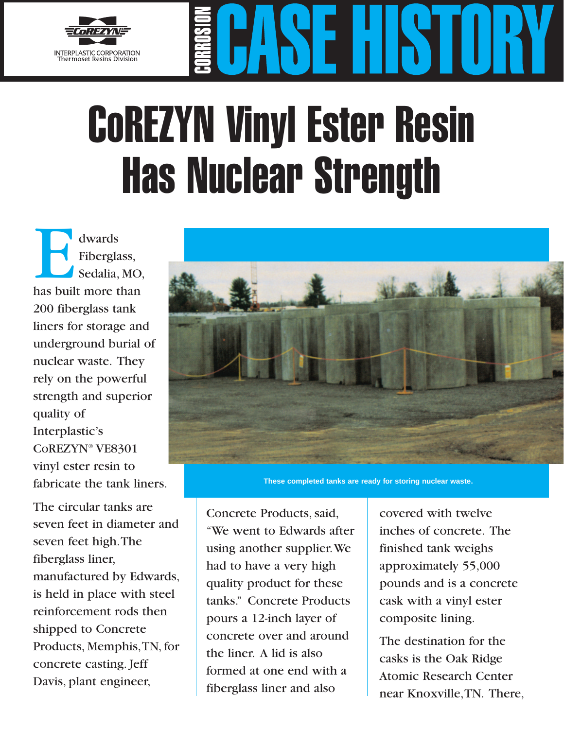

## CoREZYN Vinyl Ester Resin Has Nuclear Strength

E dwards<br>
Fiberglass,<br>
Sedalia, MO<br>
has built more than Fiberglass, Sedalia, MO, 200 fiberglass tank liners for storage and underground burial of nuclear waste. They rely on the powerful strength and superior quality of Interplastic's CoREZYN® VE8301 vinyl ester resin to fabricate the tank liners.

The circular tanks are seven feet in diameter and seven feet high.The fiberglass liner, manufactured by Edwards, is held in place with steel reinforcement rods then shipped to Concrete Products, Memphis,TN, for concrete casting. Jeff Davis, plant engineer,



**These completed tanks are ready for storing nuclear waste.**

Concrete Products, said, "We went to Edwards after using another supplier.We had to have a very high quality product for these tanks." Concrete Products pours a 12-inch layer of concrete over and around the liner. A lid is also formed at one end with a fiberglass liner and also

covered with twelve inches of concrete. The finished tank weighs approximately 55,000 pounds and is a concrete cask with a vinyl ester composite lining.

The destination for the casks is the Oak Ridge Atomic Research Center near Knoxville,TN. There,